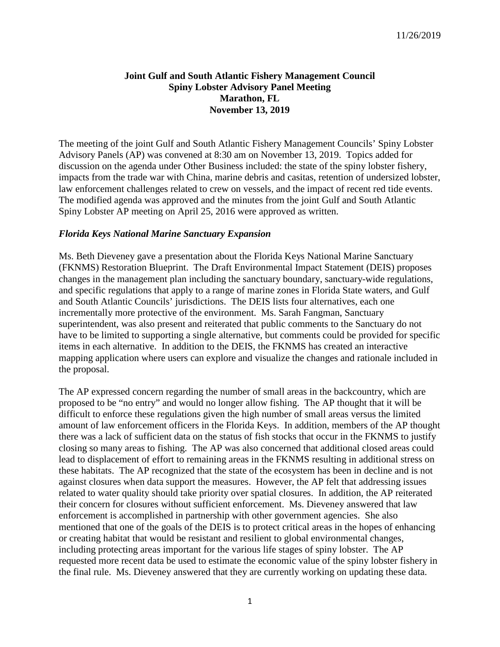## **Joint Gulf and South Atlantic Fishery Management Council Spiny Lobster Advisory Panel Meeting Marathon, FL November 13, 2019**

The meeting of the joint Gulf and South Atlantic Fishery Management Councils' Spiny Lobster Advisory Panels (AP) was convened at 8:30 am on November 13, 2019. Topics added for discussion on the agenda under Other Business included: the state of the spiny lobster fishery, impacts from the trade war with China, marine debris and casitas, retention of undersized lobster, law enforcement challenges related to crew on vessels, and the impact of recent red tide events. The modified agenda was approved and the minutes from the joint Gulf and South Atlantic Spiny Lobster AP meeting on April 25, 2016 were approved as written.

## *Florida Keys National Marine Sanctuary Expansion*

Ms. Beth Dieveney gave a presentation about the Florida Keys National Marine Sanctuary (FKNMS) Restoration Blueprint. The Draft Environmental Impact Statement (DEIS) proposes changes in the management plan including the sanctuary boundary, sanctuary-wide regulations, and specific regulations that apply to a range of marine zones in Florida State waters, and Gulf and South Atlantic Councils' jurisdictions. The DEIS lists four alternatives, each one incrementally more protective of the environment. Ms. Sarah Fangman, Sanctuary superintendent, was also present and reiterated that public comments to the Sanctuary do not have to be limited to supporting a single alternative, but comments could be provided for specific items in each alternative. In addition to the DEIS, the FKNMS has created an interactive mapping application where users can explore and visualize the changes and rationale included in the proposal.

The AP expressed concern regarding the number of small areas in the backcountry, which are proposed to be "no entry" and would no longer allow fishing. The AP thought that it will be difficult to enforce these regulations given the high number of small areas versus the limited amount of law enforcement officers in the Florida Keys. In addition, members of the AP thought there was a lack of sufficient data on the status of fish stocks that occur in the FKNMS to justify closing so many areas to fishing. The AP was also concerned that additional closed areas could lead to displacement of effort to remaining areas in the FKNMS resulting in additional stress on these habitats. The AP recognized that the state of the ecosystem has been in decline and is not against closures when data support the measures. However, the AP felt that addressing issues related to water quality should take priority over spatial closures. In addition, the AP reiterated their concern for closures without sufficient enforcement. Ms. Dieveney answered that law enforcement is accomplished in partnership with other government agencies. She also mentioned that one of the goals of the DEIS is to protect critical areas in the hopes of enhancing or creating habitat that would be resistant and resilient to global environmental changes, including protecting areas important for the various life stages of spiny lobster. The AP requested more recent data be used to estimate the economic value of the spiny lobster fishery in the final rule. Ms. Dieveney answered that they are currently working on updating these data.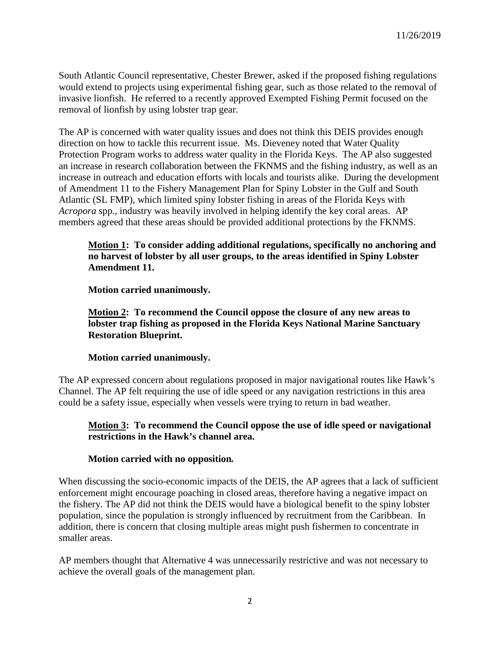South Atlantic Council representative, Chester Brewer, asked if the proposed fishing regulations would extend to projects using experimental fishing gear, such as those related to the removal of invasive lionfish. He referred to a recently approved Exempted Fishing Permit focused on the removal of lionfish by using lobster trap gear.

The AP is concerned with water quality issues and does not think this DEIS provides enough direction on how to tackle this recurrent issue. Ms. Dieveney noted that Water Quality Protection Program works to address water quality in the Florida Keys. The AP also suggested an increase in research collaboration between the FKNMS and the fishing industry, as well as an increase in outreach and education efforts with locals and tourists alike. During the development of Amendment 11 to the Fishery Management Plan for Spiny Lobster in the Gulf and South Atlantic (SL FMP), which limited spiny lobster fishing in areas of the Florida Keys with *Acropora* spp., industry was heavily involved in helping identify the key coral areas. AP members agreed that these areas should be provided additional protections by the FKNMS.

## **Motion 1: To consider adding additional regulations, specifically no anchoring and no harvest of lobster by all user groups, to the areas identified in Spiny Lobster Amendment 11.**

**Motion carried unanimously.**

## **Motion 2: To recommend the Council oppose the closure of any new areas to lobster trap fishing as proposed in the Florida Keys National Marine Sanctuary Restoration Blueprint.**

# **Motion carried unanimously.**

The AP expressed concern about regulations proposed in major navigational routes like Hawk's Channel. The AP felt requiring the use of idle speed or any navigation restrictions in this area could be a safety issue, especially when vessels were trying to return in bad weather.

# **Motion 3: To recommend the Council oppose the use of idle speed or navigational restrictions in the Hawk's channel area.**

#### **Motion carried with no opposition***.*

When discussing the socio-economic impacts of the DEIS, the AP agrees that a lack of sufficient enforcement might encourage poaching in closed areas, therefore having a negative impact on the fishery. The AP did not think the DEIS would have a biological benefit to the spiny lobster population, since the population is strongly influenced by recruitment from the Caribbean. In addition, there is concern that closing multiple areas might push fishermen to concentrate in smaller areas.

AP members thought that Alternative 4 was unnecessarily restrictive and was not necessary to achieve the overall goals of the management plan.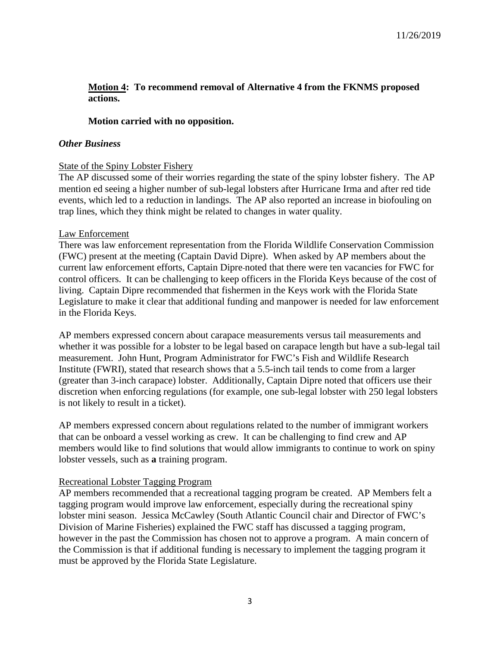## **Motion 4: To recommend removal of Alternative 4 from the FKNMS proposed actions.**

## **Motion carried with no opposition.**

#### *Other Business*

### State of the Spiny Lobster Fishery

The AP discussed some of their worries regarding the state of the spiny lobster fishery. The AP mention ed seeing a higher number of sub-legal lobsters after Hurricane Irma and after red tide events, which led to a reduction in landings. The AP also reported an increase in biofouling on trap lines, which they think might be related to changes in water quality.

#### Law Enforcement

There was law enforcement representation from the Florida Wildlife Conservation Commission (FWC) present at the meeting (Captain David Dipre). When asked by AP members about the current law enforcement efforts, Captain Dipre noted that there were ten vacancies for FWC for control officers. It can be challenging to keep officers in the Florida Keys because of the cost of living. Captain Dipre recommended that fishermen in the Keys work with the Florida State Legislature to make it clear that additional funding and manpower is needed for law enforcement in the Florida Keys.

AP members expressed concern about carapace measurements versus tail measurements and whether it was possible for a lobster to be legal based on carapace length but have a sub-legal tail measurement. John Hunt, Program Administrator for FWC's Fish and Wildlife Research Institute (FWRI), stated that research shows that a 5.5-inch tail tends to come from a larger (greater than 3-inch carapace) lobster. Additionally, Captain Dipre noted that officers use their discretion when enforcing regulations (for example, one sub-legal lobster with 250 legal lobsters is not likely to result in a ticket).

AP members expressed concern about regulations related to the number of immigrant workers that can be onboard a vessel working as crew. It can be challenging to find crew and AP members would like to find solutions that would allow immigrants to continue to work on spiny lobster vessels, such as **a** training program.

#### Recreational Lobster Tagging Program

AP members recommended that a recreational tagging program be created. AP Members felt a tagging program would improve law enforcement, especially during the recreational spiny lobster mini season. Jessica McCawley (South Atlantic Council chair and Director of FWC's Division of Marine Fisheries) explained the FWC staff has discussed a tagging program, however in the past the Commission has chosen not to approve a program. A main concern of the Commission is that if additional funding is necessary to implement the tagging program it must be approved by the Florida State Legislature.